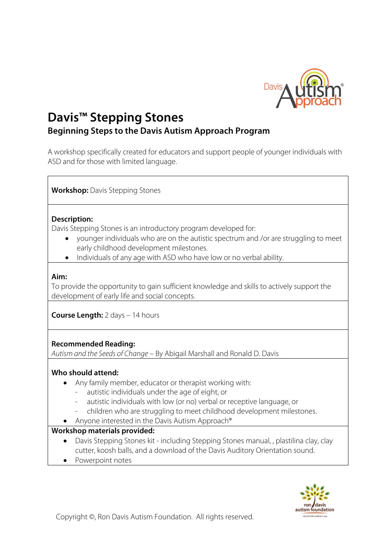

# **Davis™ Stepping Stones Beginning Steps to the Davis Autism Approach Program**

A workshop specifically created for educators and support people of younger individuals with ASD and for those with limited language.

**Workshop:** Davis Stepping Stones

## **Description:**

Davis Stepping Stones is an introductory program developed for:

- younger individuals who are on the autistic spectrum and /or are struggling to meet early childhood development milestones.
- Individuals of any age with ASD who have low or no verbal ability.

## **Aim:**

To provide the opportunity to gain sufficient knowledge and skills to actively support the development of early life and social concepts.

**Course Length:** 2 days – 14 hours

## **Recommended Reading:**

*Autism and the Seeds of Change* – By Abigail Marshall and Ronald D. Davis

## **Who should attend:**

- Any family member, educator or therapist working with:
	- autistic individuals under the age of eight, or
	- autistic individuals with low (or no) verbal or receptive language, or
	- children who are struggling to meet childhood development milestones.
- Anyone interested in the Davis Autism Approach®

## **Workshop materials provided:**

- Davis Stepping Stones kit including Stepping Stones manual, , plastilina clay, clay cutter, koosh balls, and a download of the Davis Auditory Orientation sound.
- Powerpoint notes